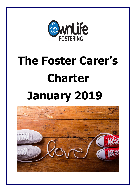

# **The Foster Carer's Charter January 2019**

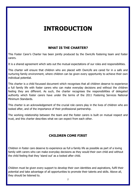# **INTRODUCTION**

# **WHAT IS THE CHARTER?**

This Foster Carer's Charter has been jointly produced by the OwnLife fostering team and foster carers.

It is a shared agreement which sets out the mutual expectations of our roles and responsibilities.

This charter will ensure that children who are placed with OwnLife are cared for in a safe and nurturing family environment, where children can be given every opportunity to achieve their own individual potential.

This charter is a child focussed document which recognises that all children deserve to experience a full family life with foster carers who can make everyday decisions and without the children feeling they are different. As such, the charter recognises the responsibilities of delegated authority which foster carers have under the terms of the 2011 Fostering Services National Minimum Standards.

This charter is an acknowledgement of the crucial role carers play in the lives of children who are looked after, and of the importance of their professional partnership.

The working relationship between the team and the foster carers is built on mutual respect and trust, and this charter describes what we can expect from each other.

# **CHILDREN COME FIRST**

Children in foster care deserve to experience as full a family life as possible as part of a loving family with carers who can make everyday decisions as they would their own child and without the child feeling that they 'stand out' as a looked after child.

Children must be given every support to develop their own identities and aspirations, fulfil their potential and take advantage of all opportunities to promote their talents and skills. Above all, they should be listened to.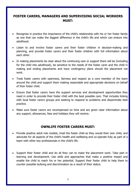# **FOSTER CARERS, MANAGERS AND SUPERVISING SOCIAL WORKERS MUST:**

- Recognise in practice the importance of the child's relationship with his or her foster family as one that can make the biggest difference in the child's life and which can endure into adulthood.
- Listen to and involve foster carers and their foster children in decision-making and planning, and provide foster carers and their foster children with full information about each other.
- In making placements be clear about the continuing care or support there will be (including for the child into adulthood), be sensitive to the needs of the foster carer and the child in making and ending placements and have contingency plans should the placement not work.
- Treat foster carers with openness, fairness and respect as a core member of the team around the child and support them making reasonable and appropriate decisions on behalf of their foster child.
- Ensure that foster carers have the support services and development opportunities they need in order to provide their foster child with the best possible care. That includes linking with local foster carers groups and seeking to respond to problems and disseminate best practice.
- Make sure foster carers are recompensed on time and are given clear information about any support, allowances, fees and holidays they will receive.

### **OWNLIFE FOSTER CARERS MUST:**

- Provide positive adult role models, treat the foster child as they would their own child, and advocate for all aspects of the child's health and wellbeing and co-operate fully as part of a team with other key professionals in the child's life.
- Support their foster child and do all they can to make the placement work. Take part in learning and development. Use skills and approaches that make a positive impact and enable the child to reach his or her potential. Support their foster child to help them to counter possible bullying and discrimination as a result of their status.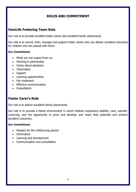# **ROLES AND COMMITMENT**

## **OwnLife Fostering Team Role**

Our role is to provide excellent foster carers and excellent family placements.

Our role is to recruit, train, manage and support foster carers who can deliver excellent outcomes for children who are placed with them**.**

#### **Our Commitment**

- What you can expect from us:
- Working in partnership
- Clarity about decisions
- Information
- Support
- Learning opportunities
- Fair treatment
- Effective communication
- Consultation

# **Foster Carer's Role**

Our role is to deliver excellent family placements.

Our role is to provide a family environment in which children experience stability, care, warmth, nurturing, and the opportunity to grow and develop, and reach their potential and achieve excellent outcomes.

#### **Our Commitment**

- Respect for the child/young person
- Information
- Learning and development
- Communication and consultation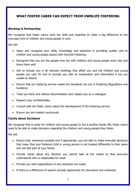# **WHAT FOSTER CARER CAN EXPECT FROM OWNLIFE FOSTERING**

#### **Working in Partnership:**

We recognise that foster carers have the skills and expertise to make a big difference to the everyday lives of children and young people in care.

We will:

- Value and recognise your skills, knowledge and expertise in providing quality care to children and young people placed with OwnLife Fostering.
- Recognise that you are the people who live with children and young people every day and know them well.
- Aim to include you in all relevant meetings that affect you and the children and young people you care for and to provide you with an explanation and information if you are unable to attend.
- Ensure that our fostering service meets the standards set out in Fostering Regulations and Guidance.
- Treat you fairly and without discrimination and respect you as a colleague.
- Respect your confidentiality.
- Consult with the foster carers about the development of the fostering service.
- Ensure you are treated courteously.

#### **Clarity about Decisions**

We recognise that in order for children and young people to live a positive family life, foster carers need to be able to make decisions regarding the children and young people they foster.

- Ensure that, whenever possible and if appropriate, you are able to make everyday decisions that mean that your fostered child or young person is not treated differently to their peers and can feel part of your family.
- Provide clarity about any decision you cannot take at the outset so that everyone understands who is responsible for what.
- Provide you with explanations of why decisions are made.
- If there is a difference of opinion provide opportunity for discussion and resolution.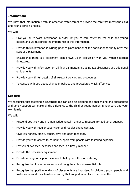#### **Information:**

We know that information is vital in order for foster carers to provide the care that meets the child and young person's needs.

We will:

- Give you all relevant information in order for you to care safely for the child and young person and we recognise the importance of this information.
- Provide this information in writing prior to placement or at the earliest opportunity after the start of a placement.
- Ensure that there is a placement plan drawn up in discussion with you within specified timescales.
- Provide you with information on all financial matters including tax allowances and additional entitlements.
- Provide you with full details of all relevant policies and procedures.
- To consult with you about change in policies and procedures which affect you.

#### **Support:**

We recognise that fostering is rewarding but can also be isolating and challenging and appropriate and timely support can make all the difference to the child or young person in your care and your own family.

- Respond positively and in a non-judgemental manner to requests for additional support.
- Provide you with regular supervision and regular phone contact.
- Give you honest, timely, constructive and open feedback.
- Provide you with access to 24-hour support from people with fostering expertise.
- Pay you allowances, expenses and fees in a timely manner.
- Provide the necessary equipment
- Provide a range of support services to help you with your fostering.
- Recognise that foster carers sons and daughters play an essential role.
- Recognise that positive endings of placements are important for children, young people and foster carers and their families ensuring that support is in place to achieve this.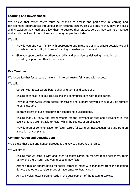#### **Learning and Development:**

We believe that foster carers must be enabled to access and participate in learning and development opportunities throughout their fostering career. This will ensure they have the skills and knowledge they need and allow them to develop their practice so that they can help improve and enrich the lives of the children and young people they foster.

We will:

- Provide you and your family with appropriate and relevant training. Where possible we will provide some flexibility in times of training to enable you to attend.
- Give you opportunities to utilise your skills and expertise by delivering mentoring or providing support to other foster carers.

#### **Fair Treatment:**

We recognise that foster carers have a right to be treated fairly and with respect.

We will:

- Consult with foster carers before changing terms and conditions.
- Ensure openness in all our discussions and communications with foster carers.
- Provide a framework which details timescales and support networks should you be subject to an allegation.
- Be transparent in our procedures for conducting investigations.
- Ensure that you know the arrangements for the payment of fees and allowances in the event that you are not able to foster while the subject of an allegation.
- Provide prompt communication to foster carers following an investigation resulting from an allegation or complaint.

#### **Communication and Consultation:**

We believe that open and honest dialogue is the key to a good relationship.

We will aim to:

- Ensure that we consult with and listen to foster carers on matters that affect them, their family and the children and young people they foster.
- Arrange regular opportunities for foster carers to meet with managers from the fostering Service and others to raise issues of importance to foster carers.
- Aim to involve foster carers directly in the development of the fostering service.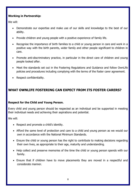#### **Working in Partnership:**

We will:

- Demonstrate our expertise and make use of our skills and knowledge to the best of our ability.
- Provide children and young people with a positive experience of family life.
- Recognise the importance of birth families to a child or young person in care and work in a positive way with the birth parents, wider family and other people significant to children in care.
- Promote anti-discriminatory practice, in particular in the direct care of children and young people looked after.
- Meet the standards set out in the Fostering Regulations and Guidance and follow OwnLife policies and procedures including complying with the terms of the foster carer agreement.
- Respect confidentiality.

# **WHAT OWNLIFE FOSTERING CAN EXPECT FROM ITS FOSTER CARERS?**

#### **Respect for the Child and Young Person.**

Every child and young person should be respected as an individual and be supported in meeting their individual needs and achieving their aspirations and potential.

- Respect and promote a child's identity.
- Afford the same level of protection and care to a child and young person as we would our own in accordance with the National Minimum Standards.
- Ensure the child or young person has the right to contribute to making decisions regarding their own lives, as appropriate to their age, maturity and understanding.
- Help collect and preserve memories of the time the child or young person spends with our family.
- Ensure that if children have to move placements they are moved in a respectful and considerate manner.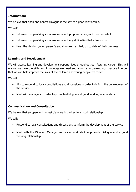#### **Information:**

We believe that open and honest dialogue is the key to a good relationship.

We will:

- Inform our supervising social worker about proposed changes in our household.
- Inform our supervising social worker about any difficulties that arise for us.
- Keep the child or young person's social worker regularly up to date of their progress.

#### **Learning and Development**

We will access learning and development opportunities throughout our fostering career. This will ensure we have the skills and knowledge we need and allow us to develop our practice in order that we can help improve the lives of the children and young people we foster.

We will:

- Aim to respond to local consultations and discussions in order to inform the development of the service.
- Meet with managers in order to promote dialogue and good working relationships.

#### **Communication and Consultation.**

We believe that an open and honest dialogue is the key to a good relationship.

- Respond to local consultations and discussions to inform the development of the service
- Meet with the Director, Manager and social work staff to promote dialogue and a good working relationship.